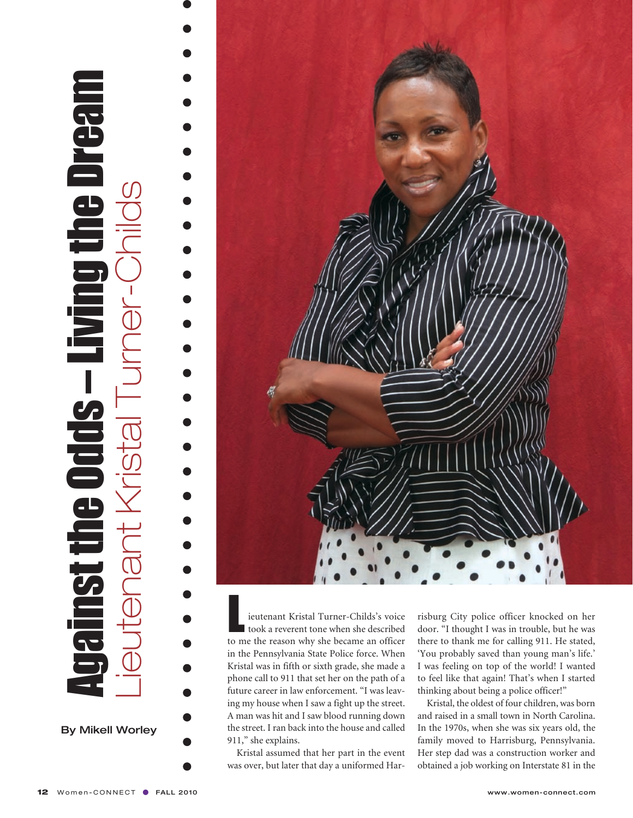## $\frac{1}{2}$  Against the Odds – Living the Dream  $\frac{1}{2}$  Lieutenant Kristal Turner-Childs **realded**  $\begin{array}{c} \rule{0pt}{2.5ex} \rule{0pt}{2.5ex} \rule{0pt}{2.5ex} \rule{0pt}{2.5ex} \rule{0pt}{2.5ex} \rule{0pt}{2.5ex} \rule{0pt}{2.5ex} \rule{0pt}{2.5ex} \rule{0pt}{2.5ex} \rule{0pt}{2.5ex} \rule{0pt}{2.5ex} \rule{0pt}{2.5ex} \rule{0pt}{2.5ex} \rule{0pt}{2.5ex} \rule{0pt}{2.5ex} \rule{0pt}{2.5ex} \rule{0pt}{2.5ex} \rule{0pt}{2.5ex} \rule{0pt}{2.5ex} \rule{0$  $\overline{\phantom{a}}$

**By Mikell Worley** 



**Lieutenant Kristal Turner-Childs's voice**<br> **took a reverent tone when she described**<br> **to me the reason why she became an officer** to me the reason why she became an officer in the Pennsylvania State Police force. When Kristal was in fifth or sixth grade, she made a phone call to 911 that set her on the path of a future career in law enforcement. "I was leaving my house when I saw a fight up the street. A man was hit and I saw blood running down the street. I ran back into the house and called 911," she explains.

Kristal assumed that her part in the event was over, but later that day a uniformed Har-

risburg City police officer knocked on her door. "I thought I was in trouble, but he was there to thank me for calling 911. He stated, 'You probably saved than young man's life.' I was feeling on top of the world! I wanted to feel like that again! That's when I started thinking about being a police officer!"

Kristal, the oldest of four children, was born and raised in a small town in North Carolina. In the 1970s, when she was six years old, the family moved to Harrisburg, Pennsylvania. Her step dad was a construction worker and obtained a job working on Interstate 81 in the